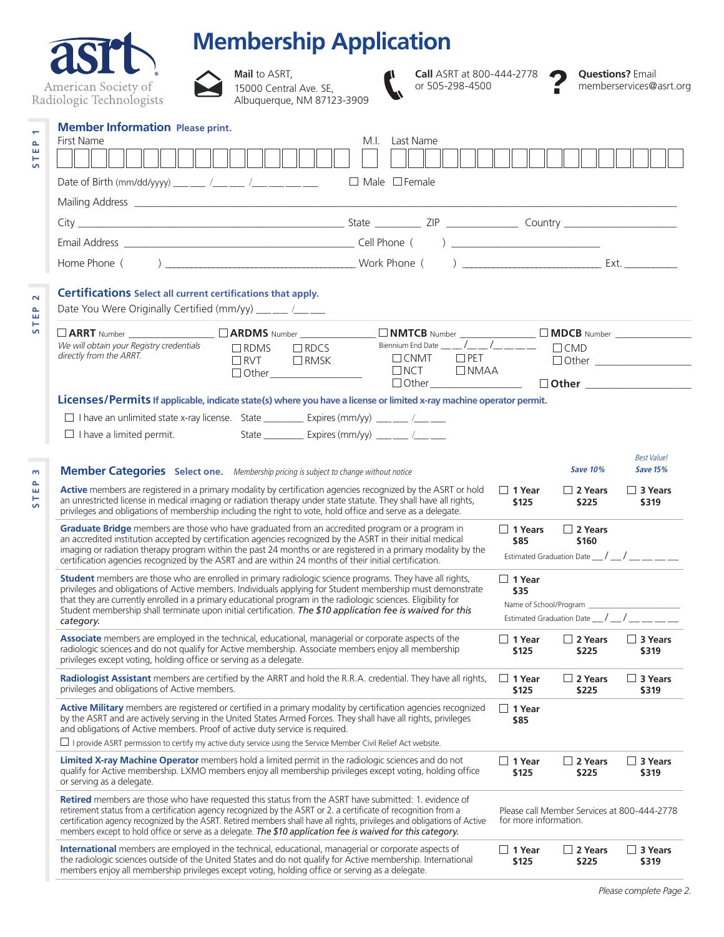|                                                                |                                                                                                                                                                                                                                                                                                                                                                                                                                                                           | <b>Membership Application</b>                                                |                                                   |                                                     |                                                                             |                                                |                                                    |  |
|----------------------------------------------------------------|---------------------------------------------------------------------------------------------------------------------------------------------------------------------------------------------------------------------------------------------------------------------------------------------------------------------------------------------------------------------------------------------------------------------------------------------------------------------------|------------------------------------------------------------------------------|---------------------------------------------------|-----------------------------------------------------|-----------------------------------------------------------------------------|------------------------------------------------|----------------------------------------------------|--|
|                                                                | American Society of<br>Radiologic Technologists                                                                                                                                                                                                                                                                                                                                                                                                                           | <b>Mail</b> to ASRT,<br>15000 Central Ave. SE,<br>Albuquerque, NM 87123-3909 |                                                   | <b>Call</b> ASRT at 800-444-2778<br>or 505-298-4500 |                                                                             |                                                | <b>Questions?</b> Email<br>memberservices@asrt.org |  |
| $\overline{\phantom{0}}$<br>$\Delta$<br>ш<br>۳<br>$\mathbf{v}$ | <b>Member Information Please print.</b><br>First Name<br>Date of Birth (mm/dd/yyyy) ___ __ /___ __ /___ __ /___ ___ ___                                                                                                                                                                                                                                                                                                                                                   |                                                                              | M.I. Last Name<br>$\Box$ Male $\Box$ Female       |                                                     |                                                                             |                                                |                                                    |  |
|                                                                |                                                                                                                                                                                                                                                                                                                                                                                                                                                                           |                                                                              |                                                   |                                                     |                                                                             |                                                |                                                    |  |
|                                                                |                                                                                                                                                                                                                                                                                                                                                                                                                                                                           |                                                                              |                                                   |                                                     |                                                                             |                                                |                                                    |  |
|                                                                |                                                                                                                                                                                                                                                                                                                                                                                                                                                                           |                                                                              |                                                   |                                                     |                                                                             |                                                |                                                    |  |
|                                                                |                                                                                                                                                                                                                                                                                                                                                                                                                                                                           |                                                                              |                                                   |                                                     |                                                                             |                                                |                                                    |  |
| $\sim$<br>$\mathbf{a}$<br>ш                                    | <b>Certifications</b> Select all current certifications that apply.<br>Date You Were Originally Certified (mm/yy) ___ __ /__ __                                                                                                                                                                                                                                                                                                                                           |                                                                              |                                                   |                                                     |                                                                             |                                                |                                                    |  |
| S                                                              | $\Box$ ARRT Number $\Box$ $\Box$ ARDMS Number $\Box$ $\Box$ NMTCB Number $\Box$ $\Box$ MDCB Number $\Box$ We will obtain your Registry credentials $\Box$ RDMS $\Box$ RDCS Biennium End Date $\_\_\_\_$                                                                                                                                                                                                                                                                   |                                                                              |                                                   |                                                     |                                                                             |                                                |                                                    |  |
|                                                                | directly from the ARRT.                                                                                                                                                                                                                                                                                                                                                                                                                                                   | $\Box$ RVT<br>$\Box$ RMSK                                                    |                                                   | $\Box$ CNMT<br>$\Box$ PET                           |                                                                             |                                                |                                                    |  |
|                                                                |                                                                                                                                                                                                                                                                                                                                                                                                                                                                           | $\Box$ Other                                                                 |                                                   | $\Box$ NCT $\Box$ NMAA                              |                                                                             |                                                |                                                    |  |
|                                                                | $\Box$ Other $\Box$ Other $\Box$ Other $\Box$                                                                                                                                                                                                                                                                                                                                                                                                                             |                                                                              |                                                   |                                                     |                                                                             |                                                |                                                    |  |
|                                                                | Licenses/Permits If applicable, indicate state(s) where you have a license or limited x-ray machine operator permit.<br>$\Box$ I have an unlimited state x-ray license. State ______________ Expires (mm/yy) _______ /_______                                                                                                                                                                                                                                             |                                                                              |                                                   |                                                     |                                                                             |                                                |                                                    |  |
|                                                                | $\Box$ I have a limited permit.                                                                                                                                                                                                                                                                                                                                                                                                                                           |                                                                              | State __________ Expires (mm/yy) ____ ___ /______ |                                                     |                                                                             |                                                |                                                    |  |
|                                                                |                                                                                                                                                                                                                                                                                                                                                                                                                                                                           |                                                                              |                                                   |                                                     |                                                                             |                                                | <b>Best Value!</b>                                 |  |
|                                                                | <b>Member Categories</b> Select one. Membership pricing is subject to change without notice                                                                                                                                                                                                                                                                                                                                                                               |                                                                              |                                                   |                                                     |                                                                             | <b>Save 10%</b>                                | <b>Save 15%</b>                                    |  |
|                                                                | <b>Active</b> members are registered in a primary modality by certification agencies recognized by the ASRT or hold<br>an unrestricted license in medical imaging or radiation therapy under state statute. They shall have all rights,<br>privileges and obligations of membership including the right to vote, hold office and serve as a delegate.                                                                                                                     |                                                                              |                                                   |                                                     | $\Box$ 1 Year<br>\$125                                                      | $\Box$ 2 Years<br>\$225                        | $\Box$ 3 Years<br>\$319                            |  |
|                                                                | Graduate Bridge members are those who have graduated from an accredited program or a program in<br>an accredited institution accepted by certification agencies recognized by the ASRT in their initial medical<br>imaging or radiation therapy program within the past 24 months or are registered in a primary modality by the                                                                                                                                          |                                                                              |                                                   | $\Box$ 1 Years<br>\$85                              | $\Box$ 2 Years<br>\$160<br>Estimated Graduation Date __/ __/ __ __ __ __ __ |                                                |                                                    |  |
|                                                                | certification agencies recognized by the ASRT and are within 24 months of their initial certification.                                                                                                                                                                                                                                                                                                                                                                    |                                                                              |                                                   |                                                     |                                                                             |                                                |                                                    |  |
|                                                                | <b>Student</b> members are those who are enrolled in primary radiologic science programs. They have all rights,<br>privileges and obligations of Active members. Individuals applying for Student membership must demonstrate<br>that they are currently enrolled in a primary educational program in the radiologic sciences. Eligibility for<br>Student membership shall terminate upon initial certification. The \$10 application fee is waived for this              |                                                                              |                                                   | $\Box$ 1 Year<br>\$35                               |                                                                             |                                                |                                                    |  |
|                                                                |                                                                                                                                                                                                                                                                                                                                                                                                                                                                           |                                                                              |                                                   |                                                     |                                                                             |                                                |                                                    |  |
|                                                                | category.                                                                                                                                                                                                                                                                                                                                                                                                                                                                 |                                                                              |                                                   |                                                     |                                                                             | Estimated Graduation Date $\frac{1}{\sqrt{2}}$ |                                                    |  |
|                                                                | Associate members are employed in the technical, educational, managerial or corporate aspects of the<br>radiologic sciences and do not qualify for Active membership. Associate members enjoy all membership<br>privileges except voting, holding office or serving as a delegate.                                                                                                                                                                                        |                                                                              |                                                   |                                                     | $\Box$ 1 Year<br>\$125                                                      | $\Box$ 2 Years<br>\$225                        | $\Box$ 3 Years<br>\$319                            |  |
|                                                                | Radiologist Assistant members are certified by the ARRT and hold the R.R.A. credential. They have all rights,<br>privileges and obligations of Active members.                                                                                                                                                                                                                                                                                                            |                                                                              |                                                   |                                                     | $\Box$ 1 Year<br>\$125                                                      | $\Box$ 2 Years<br>\$225                        | $\Box$ 3 Years<br>\$319                            |  |
|                                                                | Active Military members are registered or certified in a primary modality by certification agencies recognized<br>by the ASRT and are actively serving in the United States Armed Forces. They shall have all rights, privileges<br>and obligations of Active members. Proof of active duty service is required.<br>I provide ASRT permission to certify my active duty service using the Service Member Civil Relief Act website.                                        |                                                                              |                                                   |                                                     | $\Box$ 1 Year<br>\$85                                                       |                                                |                                                    |  |
|                                                                | Limited X-ray Machine Operator members hold a limited permit in the radiologic sciences and do not<br>qualify for Active membership. LXMO members enjoy all membership privileges except voting, holding office<br>or serving as a delegate.                                                                                                                                                                                                                              |                                                                              |                                                   |                                                     | $\Box$ 1 Year<br>\$125                                                      | $\Box$ 2 Years<br>\$225                        | $\Box$ 3 Years<br>\$319                            |  |
|                                                                | <b>Retired</b> members are those who have requested this status from the ASRT have submitted: 1. evidence of<br>retirement status from a certification agency recognized by the ASRT or 2. a certificate of recognition from a<br>certification agency recognized by the ASRT. Retired members shall have all rights, privileges and obligations of Active<br>members except to hold office or serve as a delegate. The \$10 application fee is waived for this category. |                                                                              |                                                   |                                                     | for more information.                                                       | Please call Member Services at 800-444-2778    |                                                    |  |
|                                                                | International members are employed in the technical, educational, managerial or corporate aspects of<br>the radiologic sciences outside of the United States and do not qualify for Active membership. International<br>members enjoy all membership privileges except voting, holding office or serving as a delegate.                                                                                                                                                   |                                                                              |                                                   | $\Box$ 1 Year<br>\$125                              | $\Box$ 2 Years<br>\$225                                                     | $\Box$ 3 Years<br>\$319                        |                                                    |  |

## *Please complete Page 2.*